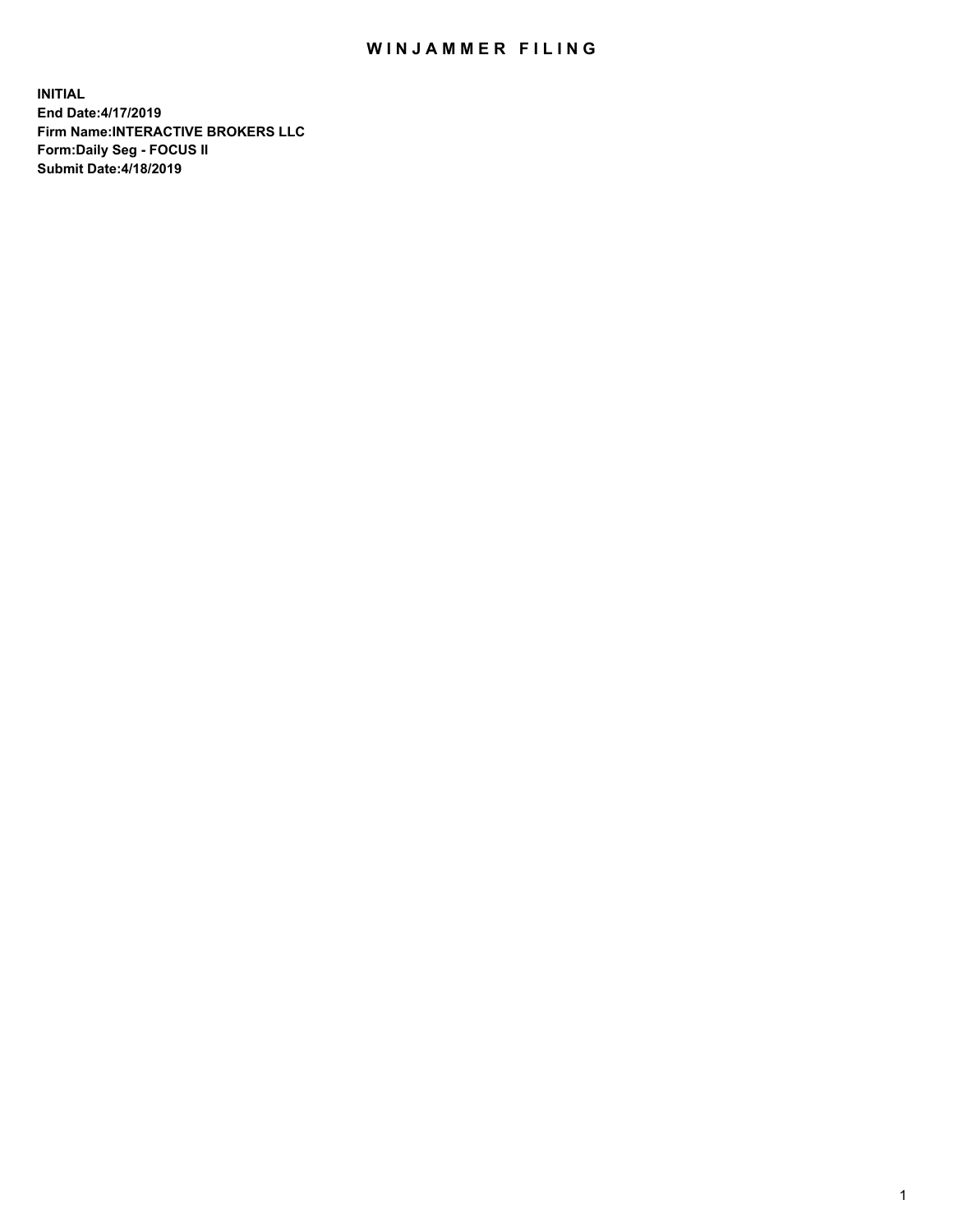## WIN JAMMER FILING

**INITIAL End Date:4/17/2019 Firm Name:INTERACTIVE BROKERS LLC Form:Daily Seg - FOCUS II Submit Date:4/18/2019**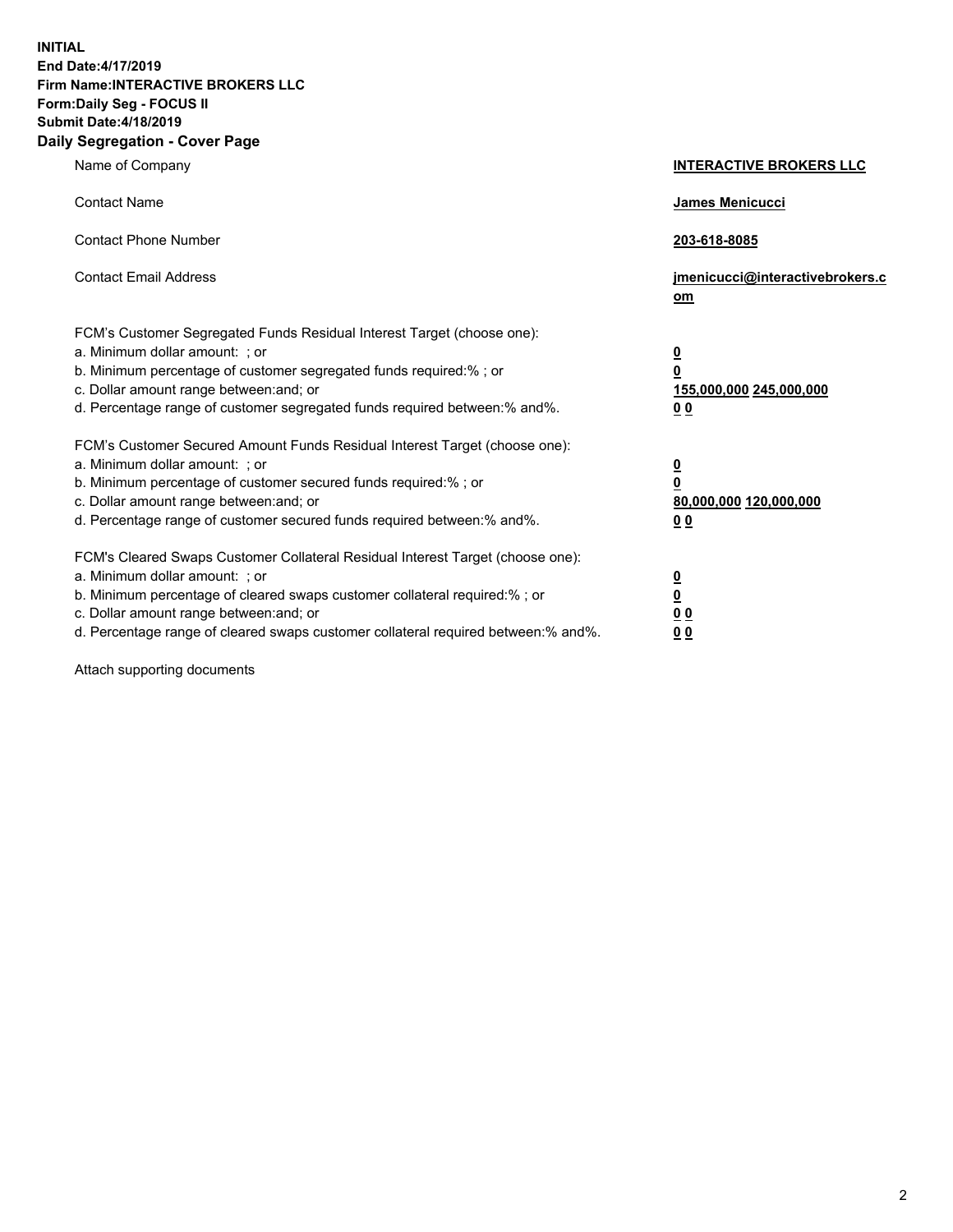**INITIAL End Date:4/17/2019 Firm Name:INTERACTIVE BROKERS LLC Form:Daily Seg - FOCUS II Submit Date:4/18/2019 Daily Segregation - Cover Page**

| Name of Company                                                                                                                                                                                                                                                                                                                | <b>INTERACTIVE BROKERS LLC</b>                                                                  |
|--------------------------------------------------------------------------------------------------------------------------------------------------------------------------------------------------------------------------------------------------------------------------------------------------------------------------------|-------------------------------------------------------------------------------------------------|
| <b>Contact Name</b>                                                                                                                                                                                                                                                                                                            | James Menicucci                                                                                 |
| <b>Contact Phone Number</b>                                                                                                                                                                                                                                                                                                    | 203-618-8085                                                                                    |
| <b>Contact Email Address</b>                                                                                                                                                                                                                                                                                                   | jmenicucci@interactivebrokers.c<br>om                                                           |
| FCM's Customer Segregated Funds Residual Interest Target (choose one):<br>a. Minimum dollar amount: ; or<br>b. Minimum percentage of customer segregated funds required:% ; or<br>c. Dollar amount range between: and; or<br>d. Percentage range of customer segregated funds required between:% and%.                         | $\overline{\mathbf{0}}$<br>$\overline{\mathbf{0}}$<br>155,000,000 245,000,000<br>0 <sub>0</sub> |
| FCM's Customer Secured Amount Funds Residual Interest Target (choose one):<br>a. Minimum dollar amount: ; or<br>b. Minimum percentage of customer secured funds required:% ; or<br>c. Dollar amount range between: and; or<br>d. Percentage range of customer secured funds required between:% and%.                           | $\overline{\mathbf{0}}$<br>0<br>80,000,000 120,000,000<br>0 <sub>0</sub>                        |
| FCM's Cleared Swaps Customer Collateral Residual Interest Target (choose one):<br>a. Minimum dollar amount: ; or<br>b. Minimum percentage of cleared swaps customer collateral required:% ; or<br>c. Dollar amount range between: and; or<br>d. Percentage range of cleared swaps customer collateral required between:% and%. | $\overline{\mathbf{0}}$<br><u>0</u><br>$\underline{0}$ $\underline{0}$<br>00                    |

Attach supporting documents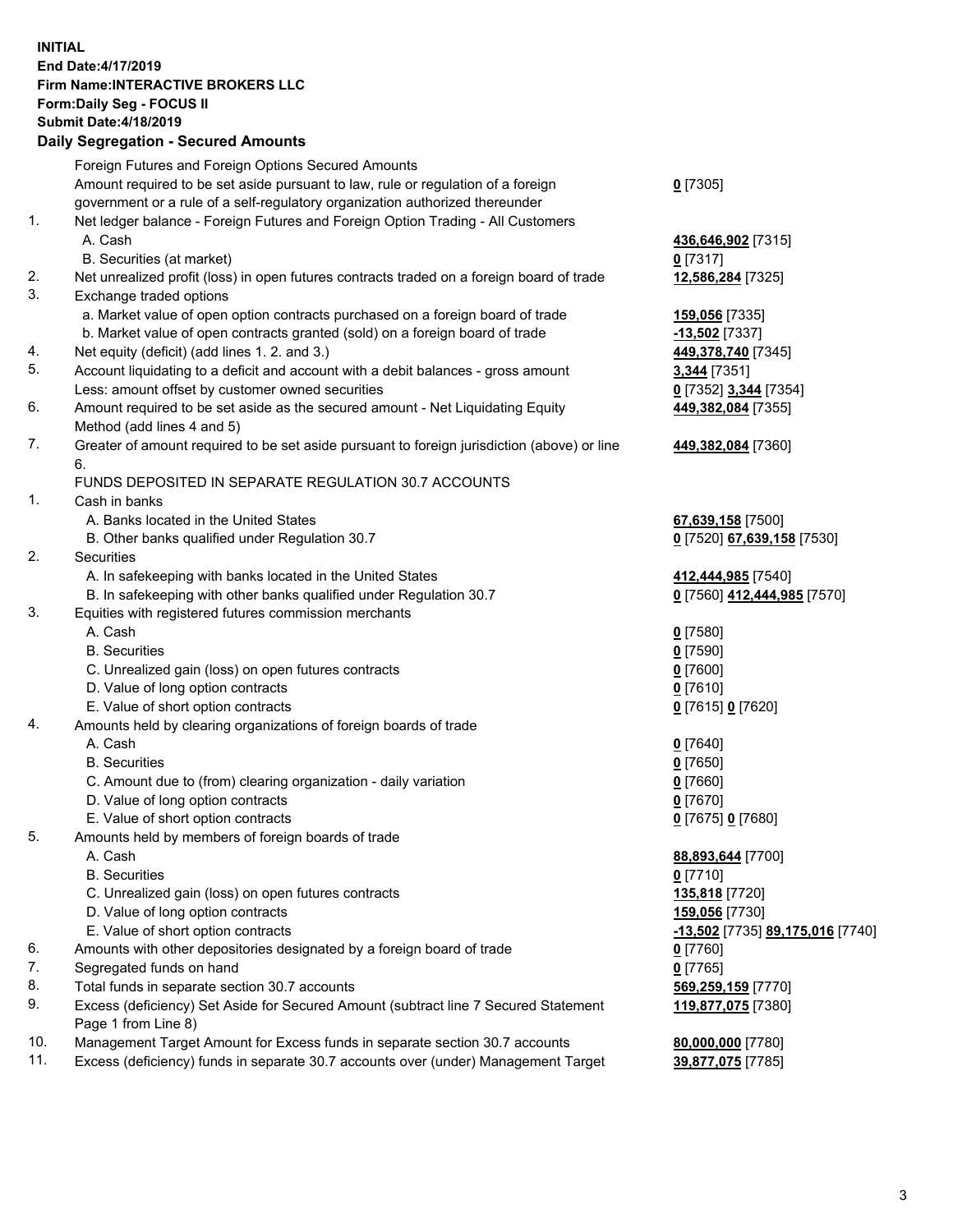## **INITIAL End Date:4/17/2019 Firm Name:INTERACTIVE BROKERS LLC Form:Daily Seg - FOCUS II Submit Date:4/18/2019 Daily Segregation - Secured Amounts**

|                | Dany Ocgregation - Oceaned Anioante                                                               |                                                      |
|----------------|---------------------------------------------------------------------------------------------------|------------------------------------------------------|
|                | Foreign Futures and Foreign Options Secured Amounts                                               |                                                      |
|                | Amount required to be set aside pursuant to law, rule or regulation of a foreign                  | $0$ [7305]                                           |
|                | government or a rule of a self-regulatory organization authorized thereunder                      |                                                      |
| 1.             | Net ledger balance - Foreign Futures and Foreign Option Trading - All Customers                   |                                                      |
|                | A. Cash                                                                                           | 436,646,902 [7315]                                   |
|                | B. Securities (at market)                                                                         | $0$ [7317]                                           |
| 2.             | Net unrealized profit (loss) in open futures contracts traded on a foreign board of trade         | 12,586,284 [7325]                                    |
| 3.             | Exchange traded options                                                                           |                                                      |
|                | a. Market value of open option contracts purchased on a foreign board of trade                    | 159,056 [7335]                                       |
|                | b. Market value of open contracts granted (sold) on a foreign board of trade                      | $-13,502$ [7337]                                     |
| 4.             | Net equity (deficit) (add lines 1. 2. and 3.)                                                     | 449,378,740 [7345]                                   |
| 5.             | Account liquidating to a deficit and account with a debit balances - gross amount                 | 3,344 [7351]                                         |
|                | Less: amount offset by customer owned securities                                                  | 0 [7352] 3,344 [7354]                                |
| 6.             | Amount required to be set aside as the secured amount - Net Liquidating Equity                    | 449,382,084 [7355]                                   |
|                | Method (add lines 4 and 5)                                                                        |                                                      |
| 7.             | Greater of amount required to be set aside pursuant to foreign jurisdiction (above) or line<br>6. | 449,382,084 [7360]                                   |
|                | FUNDS DEPOSITED IN SEPARATE REGULATION 30.7 ACCOUNTS                                              |                                                      |
| $\mathbf{1}$ . | Cash in banks                                                                                     |                                                      |
|                | A. Banks located in the United States                                                             | 67,639,158 [7500]                                    |
|                | B. Other banks qualified under Regulation 30.7                                                    | 0 [7520] 67,639,158 [7530]                           |
| 2.             | Securities                                                                                        |                                                      |
|                | A. In safekeeping with banks located in the United States                                         | 412,444,985 [7540]                                   |
|                | B. In safekeeping with other banks qualified under Regulation 30.7                                | 0 [7560] 412,444,985 [7570]                          |
| 3.             | Equities with registered futures commission merchants                                             |                                                      |
|                | A. Cash                                                                                           | $0$ [7580]                                           |
|                | <b>B.</b> Securities                                                                              | $0$ [7590]                                           |
|                | C. Unrealized gain (loss) on open futures contracts                                               | $0$ [7600]                                           |
|                | D. Value of long option contracts                                                                 | $0$ [7610]                                           |
|                | E. Value of short option contracts                                                                | 0 [7615] 0 [7620]                                    |
| 4.             | Amounts held by clearing organizations of foreign boards of trade                                 |                                                      |
|                | A. Cash                                                                                           | $0$ [7640]                                           |
|                | <b>B.</b> Securities                                                                              | $0$ [7650]                                           |
|                | C. Amount due to (from) clearing organization - daily variation                                   | $0$ [7660]                                           |
|                | D. Value of long option contracts                                                                 | $0$ [7670]                                           |
|                | E. Value of short option contracts                                                                | 0 [7675] 0 [7680]                                    |
| 5.             | Amounts held by members of foreign boards of trade                                                |                                                      |
|                | A. Cash                                                                                           | 88,893,644 [7700]                                    |
|                | <b>B.</b> Securities                                                                              | $0$ [7710]                                           |
|                | C. Unrealized gain (loss) on open futures contracts                                               | 135,818 [7720]                                       |
|                | D. Value of long option contracts                                                                 | 159,056 [7730]                                       |
|                | E. Value of short option contracts                                                                | <mark>-13,502</mark> [7735] <b>89,175,016</b> [7740] |
| 6.             | Amounts with other depositories designated by a foreign board of trade                            | $0$ [7760]                                           |
| 7.             | Segregated funds on hand                                                                          | $0$ [7765]                                           |
| 8.             | Total funds in separate section 30.7 accounts                                                     | 569,259,159 [7770]                                   |
| 9.             | Excess (deficiency) Set Aside for Secured Amount (subtract line 7 Secured Statement               | 119,877,075 [7380]                                   |
|                | Page 1 from Line 8)                                                                               |                                                      |
| 10.            | Management Target Amount for Excess funds in separate section 30.7 accounts                       | 80,000,000 [7780]                                    |
| 11.            | Excess (deficiency) funds in separate 30.7 accounts over (under) Management Target                | 39,877,075 [7785]                                    |
|                |                                                                                                   |                                                      |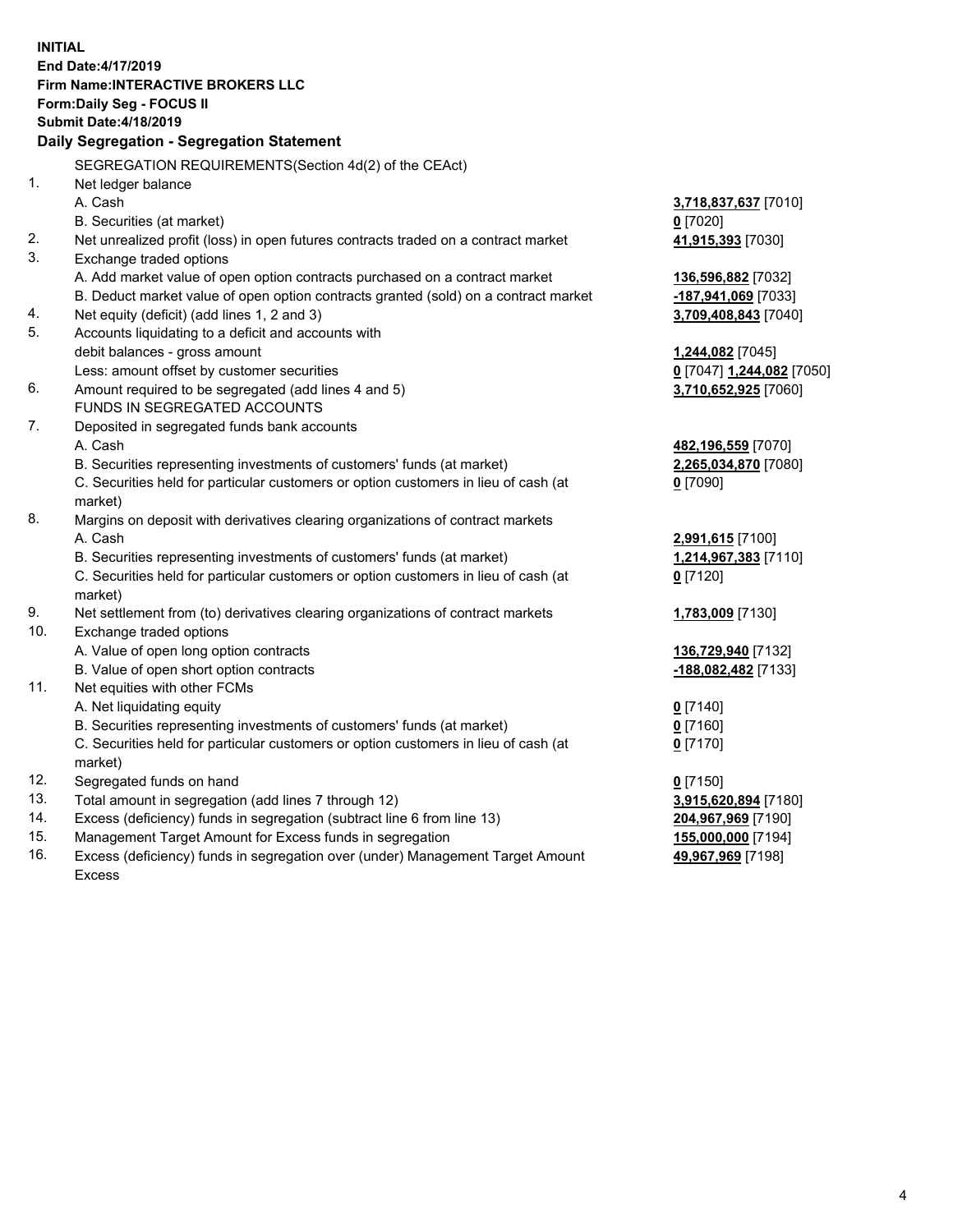**INITIAL End Date:4/17/2019 Firm Name:INTERACTIVE BROKERS LLC Form:Daily Seg - FOCUS II Submit Date:4/18/2019 Daily Segregation - Segregation Statement** SEGREGATION REQUIREMENTS(Section 4d(2) of the CEAct) 1. Net ledger balance A. Cash **3,718,837,637** [7010] B. Securities (at market) **0** [7020] 2. Net unrealized profit (loss) in open futures contracts traded on a contract market **41,915,393** [7030] 3. Exchange traded options A. Add market value of open option contracts purchased on a contract market **136,596,882** [7032] B. Deduct market value of open option contracts granted (sold) on a contract market **-187,941,069** [7033] 4. Net equity (deficit) (add lines 1, 2 and 3) **3,709,408,843** [7040] 5. Accounts liquidating to a deficit and accounts with debit balances - gross amount **1,244,082** [7045] Less: amount offset by customer securities **0** [7047] **1,244,082** [7050] 6. Amount required to be segregated (add lines 4 and 5) **3,710,652,925** [7060] FUNDS IN SEGREGATED ACCOUNTS 7. Deposited in segregated funds bank accounts A. Cash **482,196,559** [7070] B. Securities representing investments of customers' funds (at market) **2,265,034,870** [7080] C. Securities held for particular customers or option customers in lieu of cash (at market) **0** [7090] 8. Margins on deposit with derivatives clearing organizations of contract markets A. Cash **2,991,615** [7100] B. Securities representing investments of customers' funds (at market) **1,214,967,383** [7110] C. Securities held for particular customers or option customers in lieu of cash (at market) **0** [7120] 9. Net settlement from (to) derivatives clearing organizations of contract markets **1,783,009** [7130] 10. Exchange traded options A. Value of open long option contracts **136,729,940** [7132] B. Value of open short option contracts **-188,082,482** [7133] 11. Net equities with other FCMs A. Net liquidating equity **0** [7140] B. Securities representing investments of customers' funds (at market) **0** [7160] C. Securities held for particular customers or option customers in lieu of cash (at market) **0** [7170] 12. Segregated funds on hand **0** [7150] 13. Total amount in segregation (add lines 7 through 12) **3,915,620,894** [7180] 14. Excess (deficiency) funds in segregation (subtract line 6 from line 13) **204,967,969** [7190] 15. Management Target Amount for Excess funds in segregation **155,000,000** [7194]

16. Excess (deficiency) funds in segregation over (under) Management Target Amount Excess

**49,967,969** [7198]